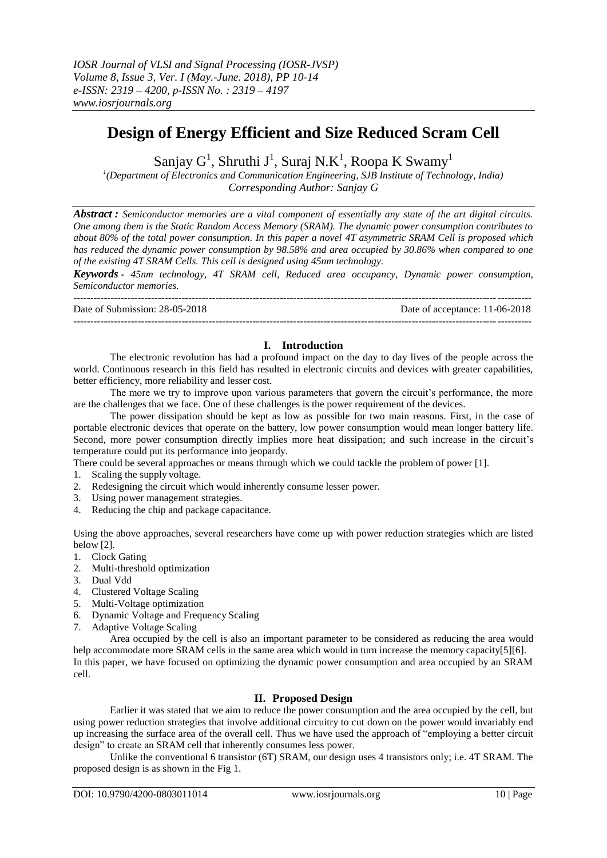# **Design of Energy Efficient and Size Reduced Scram Cell**

Sanjay  $G^1$ , Shruthi J<sup>1</sup>, Suraj N.K<sup>1</sup>, Roopa K Swamy<sup>1</sup>

*1 (Department of Electronics and Communication Engineering, SJB Institute of Technology, India) Corresponding Author: Sanjay G*

*Abstract : Semiconductor memories are a vital component of essentially any state of the art digital circuits. One among them is the Static Random Access Memory (SRAM). The dynamic power consumption contributes to about 80% of the total power consumption. In this paper a novel 4T asymmetric SRAM Cell is proposed which has reduced the dynamic power consumption by 98.58% and area occupied by 30.86% when compared to one of the existing 4T SRAM Cells. This cell is designed using 45nm technology.*

*Keywords - 45nm technology, 4T SRAM cell, Reduced area occupancy, Dynamic power consumption, Semiconductor memories.*

--------------------------------------------------------------------------------------------------------------------------------------- Date of Submission: 28-05-2018 Date of acceptance: 11-06-2018

---------------------------------------------------------------------------------------------------------------------------------------

## **I. Introduction**

The electronic revolution has had a profound impact on the day to day lives of the people across the world. Continuous research in this field has resulted in electronic circuits and devices with greater capabilities, better efficiency, more reliability and lesser cost.

The more we try to improve upon various parameters that govern the circuit's performance, the more are the challenges that we face. One of these challenges is the power requirement of the devices.

The power dissipation should be kept as low as possible for two main reasons. First, in the case of portable electronic devices that operate on the battery, low power consumption would mean longer battery life. Second, more power consumption directly implies more heat dissipation; and such increase in the circuit's temperature could put its performance into jeopardy.

There could be several approaches or means through which we could tackle the problem of power [1].

1. Scaling the supply voltage.

- 2. Redesigning the circuit which would inherently consume lesser power.
- 3. Using power management strategies.
- 4. Reducing the chip and package capacitance.

Using the above approaches, several researchers have come up with power reduction strategies which are listed below [2].

- 1. Clock Gating
- 2. Multi-threshold optimization
- 3. Dual Vdd
- 4. Clustered Voltage Scaling
- 5. Multi-Voltage optimization
- 6. Dynamic Voltage and Frequency Scaling
- 7. Adaptive Voltage Scaling

Area occupied by the cell is also an important parameter to be considered as reducing the area would help accommodate more SRAM cells in the same area which would in turn increase the memory capacity[5][6]. In this paper, we have focused on optimizing the dynamic power consumption and area occupied by an SRAM cell.

## **II. Proposed Design**

Earlier it was stated that we aim to reduce the power consumption and the area occupied by the cell, but using power reduction strategies that involve additional circuitry to cut down on the power would invariably end up increasing the surface area of the overall cell. Thus we have used the approach of "employing a better circuit design" to create an SRAM cell that inherently consumes less power.

Unlike the conventional 6 transistor (6T) SRAM, our design uses 4 transistors only; i.e. 4T SRAM. The proposed design is as shown in the Fig 1.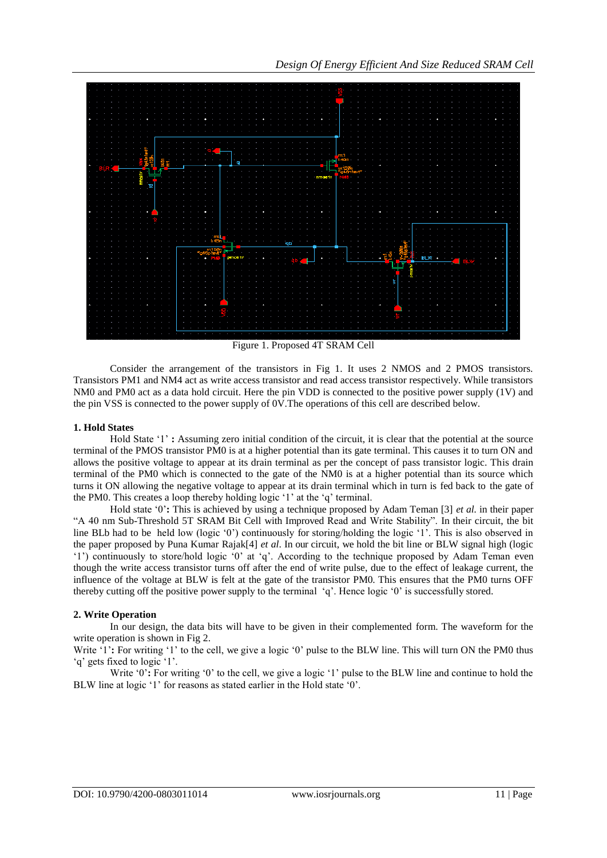

Figure 1. Proposed 4T SRAM Cell

Consider the arrangement of the transistors in Fig 1. It uses 2 NMOS and 2 PMOS transistors. Transistors PM1 and NM4 act as write access transistor and read access transistor respectively. While transistors NM0 and PM0 act as a data hold circuit. Here the pin VDD is connected to the positive power supply (1V) and the pin VSS is connected to the power supply of 0V.The operations of this cell are described below.

## **1. Hold States**

Hold State '1' **:** Assuming zero initial condition of the circuit, it is clear that the potential at the source terminal of the PMOS transistor PM0 is at a higher potential than its gate terminal. This causes it to turn ON and allows the positive voltage to appear at its drain terminal as per the concept of pass transistor logic. This drain terminal of the PM0 which is connected to the gate of the NM0 is at a higher potential than its source which turns it ON allowing the negative voltage to appear at its drain terminal which in turn is fed back to the gate of the PM0. This creates a loop thereby holding logic "1" at the "q" terminal.

Hold state "0"**:** This is achieved by using a technique proposed by Adam Teman [3] *et al.* in their paper "A 40 nm Sub-Threshold 5T SRAM Bit Cell with Improved Read and Write Stability". In their circuit, the bit line BLb had to be held low (logic '0') continuously for storing/holding the logic '1'. This is also observed in the paper proposed by Puna Kumar Rajak[4] *et al*. In our circuit, we hold the bit line or BLW signal high (logic "1") continuously to store/hold logic "0" at "q". According to the technique proposed by Adam Teman even though the write access transistor turns off after the end of write pulse, due to the effect of leakage current, the influence of the voltage at BLW is felt at the gate of the transistor PM0. This ensures that the PM0 turns OFF thereby cutting off the positive power supply to the terminal "q". Hence logic "0" is successfully stored.

### **2. Write Operation**

In our design, the data bits will have to be given in their complemented form. The waveform for the write operation is shown in Fig 2.

Write '1': For writing '1' to the cell, we give a logic '0' pulse to the BLW line. This will turn ON the PM0 thus "q" gets fixed to logic '1".

Write '0': For writing '0' to the cell, we give a logic '1' pulse to the BLW line and continue to hold the BLW line at logic '1' for reasons as stated earlier in the Hold state '0'.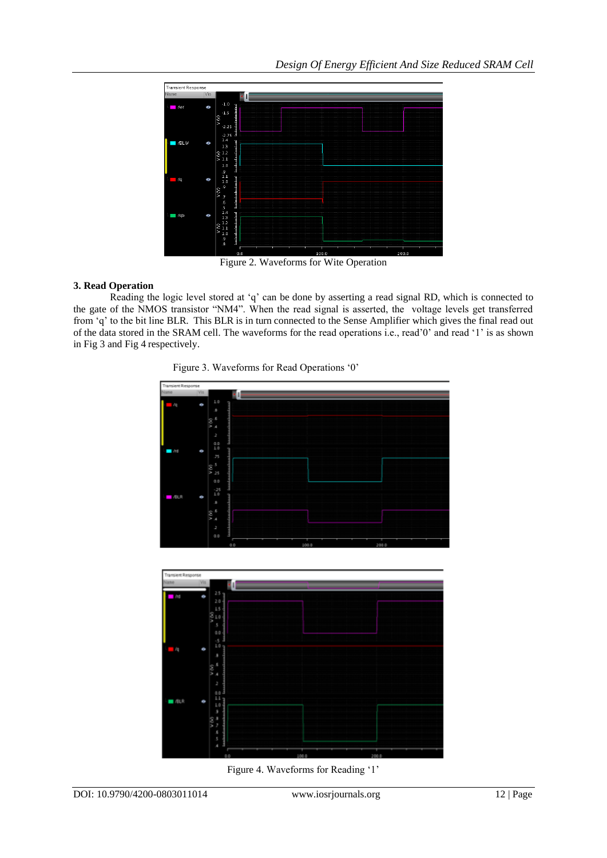

Figure 2. Waveforms for Wite Operation

## **3. Read Operation**

Reading the logic level stored at "q" can be done by asserting a read signal RD, which is connected to the gate of the NMOS transistor "NM4". When the read signal is asserted, the voltage levels get transferred from "q" to the bit line BLR. This BLR is in turn connected to the Sense Amplifier which gives the final read out of the data stored in the SRAM cell. The waveforms for the read operations i.e., read"0" and read "1" is as shown in Fig 3 and Fig 4 respectively.





Figure 4. Waveforms for Reading '1'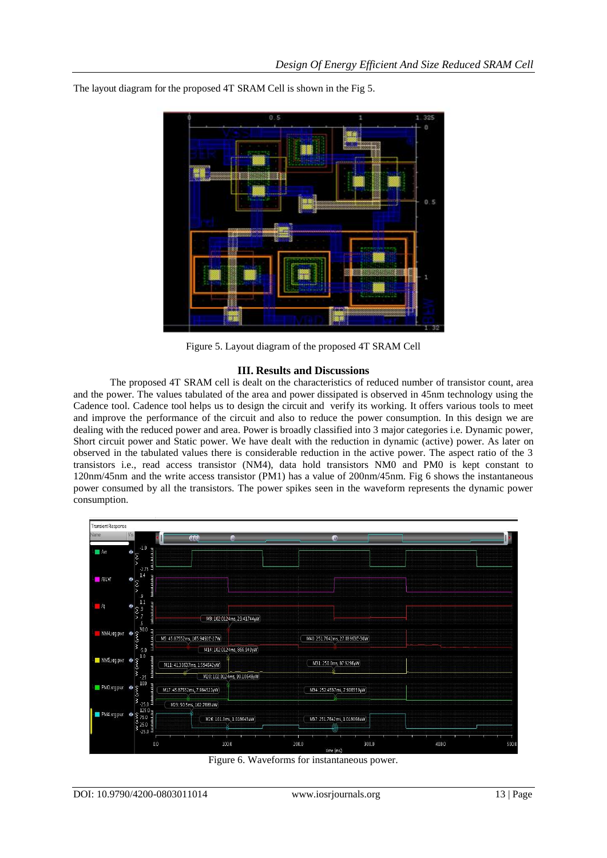

The layout diagram for the proposed 4T SRAM Cell is shown in the Fig 5.

Figure 5. Layout diagram of the proposed 4T SRAM Cell

## **III. Results and Discussions**

The proposed 4T SRAM cell is dealt on the characteristics of reduced number of transistor count, area and the power. The values tabulated of the area and power dissipated is observed in 45nm technology using the Cadence tool. Cadence tool helps us to design the circuit and verify its working. It offers various tools to meet and improve the performance of the circuit and also to reduce the power consumption. In this design we are dealing with the reduced power and area. Power is broadly classified into 3 major categories i.e. Dynamic power, Short circuit power and Static power. We have dealt with the reduction in dynamic (active) power. As later on observed in the tabulated values there is considerable reduction in the active power. The aspect ratio of the 3 transistors i.e., read access transistor (NM4), data hold transistors NM0 and PM0 is kept constant to 120nm/45nm and the write access transistor (PM1) has a value of 200nm/45nm. Fig 6 shows the instantaneous power consumed by all the transistors. The power spikes seen in the waveform represents the dynamic power consumption.



Figure 6. Waveforms for instantaneous power.